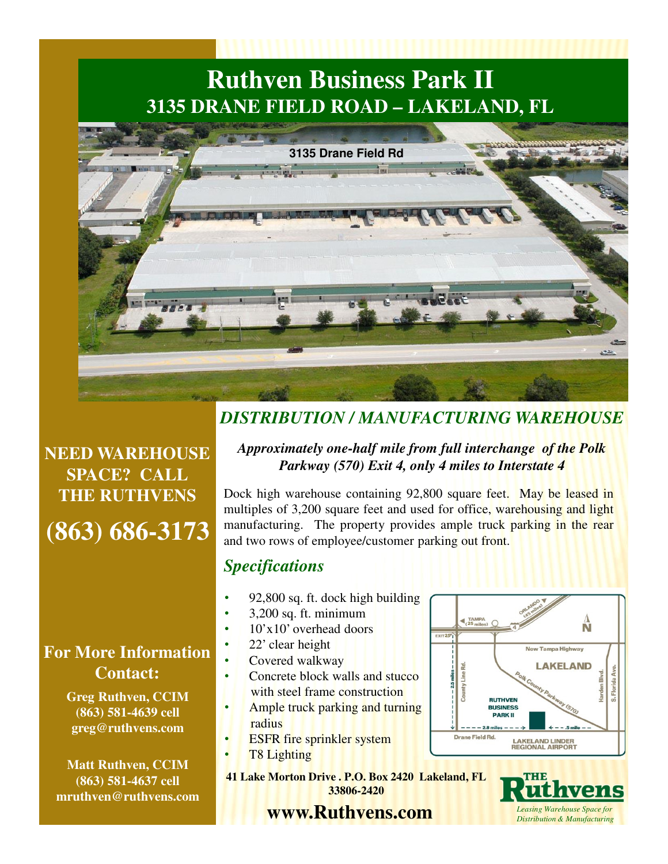# **Ruthven Business Park II 3135 DRANE FIELD ROAD – LAKELAND, FL**



**(863) 686-3173 NEED WAREHOUSE SPACE? CALL THE RUTHVENS**

### **For More Information Contact:**

**Greg Ruthven, CCIM (863) 581-4639 cell greg@ruthvens.com**

**Matt Ruthven, CCIM (863) 581-4637 cell mruthven@ruthvens.com**

### *DISTRIBUTION / MANUFACTURING WAREHOUSE*

#### *Approximately one-half mile from full interchange of the Polk Parkway (570) Exit 4, only 4 miles to Interstate 4*

Dock high warehouse containing 92,800 square feet. May be leased in multiples of 3,200 square feet and used for office, warehousing and light manufacturing. The property provides ample truck parking in the rear and two rows of employee/customer parking out front.

#### *Specifications*

- 92,800 sq. ft. dock high building
- 3,200 sq. ft. minimum
- 10'x10' overhead doors
	- 22' clear height
- Covered walkway
- Concrete block walls and stucco with steel frame construction
- Ample truck parking and turning radius
- **ESFR** fire sprinkler system
- T<sup>8</sup> Lighting

**41 Lake Morton Drive . P.O. Box 2420 Lakeland, FL 33806-2420** 

**www.Ruthvens.com**